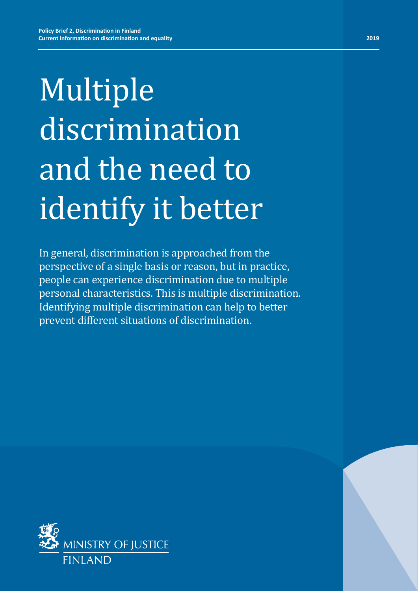# Multiple discrimination and the need to identify it better

In general, discrimination is approached from the perspective of a single basis or reason, but in practice, people can experience discrimination due to multiple personal characteristics. This is multiple discrimination. Identifying multiple discrimination can help to better prevent different situations of discrimination.

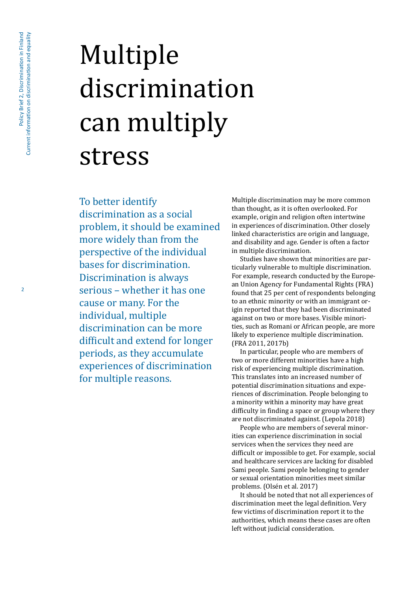# Multiple discrimination can multiply stress

To better identify discrimination as a social problem, it should be examined more widely than from the perspective of the individual bases for discrimination. Discrimination is always serious – whether it has one cause or many. For the individual, multiple discrimination can be more difficult and extend for longer periods, as they accumulate experiences of discrimination for multiple reasons.

Multiple discrimination may be more common than thought, as it is often overlooked. For example, origin and religion often intertwine in experiences of discrimination. Other closely linked characteristics are origin and language, and disability and age. Gender is often a factor in multiple discrimination.

Studies have shown that minorities are particularly vulnerable to multiple discrimination. For example, research conducted by the European Union Agency for Fundamental Rights (FRA) found that 25 per cent of respondents belonging to an ethnic minority or with an immigrant origin reported that they had been discriminated against on two or more bases. Visible minorities, such as Romani or African people, are more likely to experience multiple discrimination. (FRA 2011, 2017b)

In particular, people who are members of two or more different minorities have a high risk of experiencing multiple discrimination. This translates into an increased number of potential discrimination situations and experiences of discrimination. People belonging to a minority within a minority may have great difficulty in finding a space or group where they are not discriminated against. (Lepola 2018)

People who are members of several minorities can experience discrimination in social services when the services they need are difficult or impossible to get. For example, social and healthcare services are lacking for disabled Sami people. Sami people belonging to gender or sexual orientation minorities meet similar problems. (Olsén et al. 2017)

It should be noted that not all experiences of discrimination meet the legal definition. Very few victims of discrimination report it to the authorities, which means these cases are often left without judicial consideration.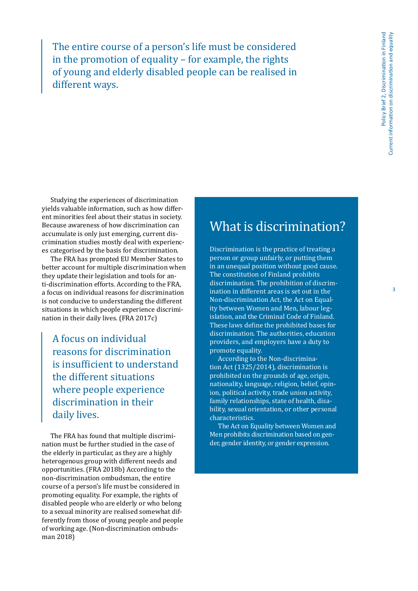The entire course of a person's life must be considered in the promotion of equality – for example, the rights of young and elderly disabled people can be realised in different ways.

Studying the experiences of discrimination yields valuable information, such as how different minorities feel about their status in society. Because awareness of how discrimination can accumulate is only just emerging, current discrimination studies mostly deal with experiences categorised by the basis for discrimination.

The FRA has prompted EU Member States to better account for multiple discrimination when they update their legislation and tools for anti-discrimination efforts. According to the FRA, a focus on individual reasons for discrimination is not conducive to understanding the different situations in which people experience discrimination in their daily lives. (FRA 2017c)

A focus on individual reasons for discrimination is insufficient to understand the different situations where people experience discrimination in their daily lives.

The FRA has found that multiple discrimination must be further studied in the case of the elderly in particular, as they are a highly heterogenous group with different needs and opportunities. (FRA 2018b) According to the non-discrimination ombudsman, the entire course of a person's life must be considered in promoting equality. For example, the rights of disabled people who are elderly or who belong to a sexual minority are realised somewhat differently from those of young people and people of working age. (Non-discrimination ombudsman 2018)

### What is discrimination?

Discrimination is the practice of treating a person or group unfairly, or putting them in an unequal position without good cause. The constitution of Finland prohibits discrimination. The prohibition of discrimination in different areas is set out in the Non-discrimination Act, the Act on Equality between Women and Men, labour legislation, and the Criminal Code of Finland. These laws define the prohibited bases for discrimination. The authorities, education providers, and employers have a duty to promote equality.

According to the Non-discrimination Act (1325/2014), discrimination is prohibited on the grounds of age, origin, nationality, language, religion, belief, opinion, political activity, trade union activity, family relationships, state of health, disability, sexual orientation, or other personal characteristics.

The Act on Equality between Women and Men prohibits discrimination based on gender, gender identity, or gender expression.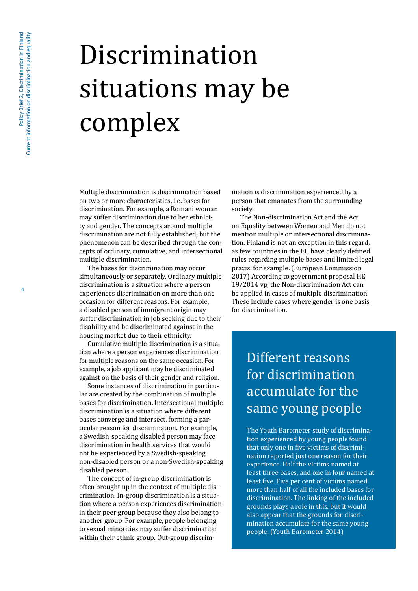# Policy Brief 2, Discrimination in Finland 4Policy Brief 2, Discrimination in Finland Current information on discrimination and equality Current information on discrimination and equality

# Discrimination situations may be complex

Multiple discrimination is discrimination based on two or more characteristics, i.e. bases for discrimination. For example, a Romani woman may suffer discrimination due to her ethnicity and gender. The concepts around multiple discrimination are not fully established, but the phenomenon can be described through the concepts of ordinary, cumulative, and intersectional multiple discrimination.

The bases for discrimination may occur simultaneously or separately. Ordinary multiple discrimination is a situation where a person experiences discrimination on more than one occasion for different reasons. For example, a disabled person of immigrant origin may suffer discrimination in job seeking due to their disability and be discriminated against in the housing market due to their ethnicity.

Cumulative multiple discrimination is a situation where a person experiences discrimination for multiple reasons on the same occasion. For example, a job applicant may be discriminated against on the basis of their gender and religion.

Some instances of discrimination in particular are created by the combination of multiple bases for discrimination. Intersectional multiple discrimination is a situation where different bases converge and intersect, forming a particular reason for discrimination. For example, a Swedish-speaking disabled person may face discrimination in health services that would not be experienced by a Swedish-speaking non-disabled person or a non-Swedish-speaking disabled person.

The concept of in-group discrimination is often brought up in the context of multiple discrimination. In-group discrimination is a situation where a person experiences discrimination in their peer group because they also belong to another group. For example, people belonging to sexual minorities may suffer discrimination within their ethnic group. Out-group discrim-

ination is discrimination experienced by a person that emanates from the surrounding society.

The Non-discrimination Act and the Act on Equality between Women and Men do not mention multiple or intersectional discrimination. Finland is not an exception in this regard, as few countries in the EU have clearly defined rules regarding multiple bases and limited legal praxis, for example. (European Commission 2017) According to government proposal HE 19/2014 vp, the Non-discrimination Act can be applied in cases of multiple discrimination. These include cases where gender is one basis for discrimination.

### Different reasons for discrimination accumulate for the same young people

The Youth Barometer study of discrimination experienced by young people found that only one in five victims of discrimination reported just one reason for their experience. Half the victims named at least three bases, and one in four named at least five. Five per cent of victims named more than half of all the included bases for discrimination. The linking of the included grounds plays a role in this, but it would also appear that the grounds for discrimination accumulate for the same young people. (Youth Barometer 2014)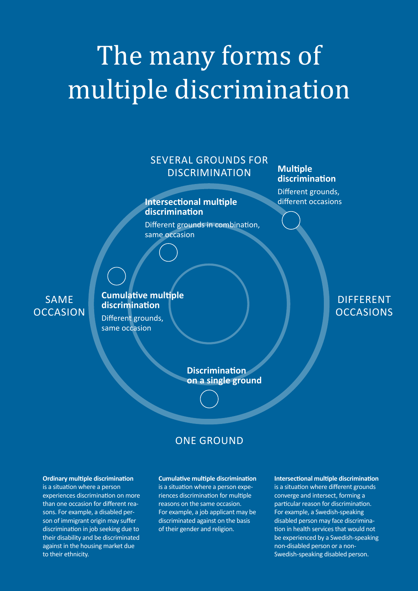# The many forms of multiple discrimination

#### SEVERAL GROUNDS FOR DISCRIMINATION

#### **Intersectional multiple discrimination**

Different grounds in combination, same occasion

#### **Multiple discrimination**

Different grounds, different occasions

> DIFFERENT **OCCASIONS**

#### SAME **OCCASION**

#### **Cumulative multiple discrimination**

Different grounds, same occasion

> **Discrimination on a single ground**

#### ONE GROUND

#### **Ordinary multiple discrimination**

is a situation where a person experiences discrimination on more than one occasion for different reasons. For example, a disabled person of immigrant origin may suffer discrimination in job seeking due to their disability and be discriminated against in the housing market due to their ethnicity.

#### **Cumulative multiple discrimination** is a situation where a person experiences discrimination for multiple reasons on the same occasion. For example, a job applicant may be discriminated against on the basis of their gender and religion.

#### **Intersectional multiple discrimination**

is a situation where different grounds converge and intersect, forming a particular reason for discrimination. For example, a Swedish-speaking disabled person may face discrimination in health services that would not be experienced by a Swedish-speaking non-disabled person or a non-Swedish-speaking disabled person.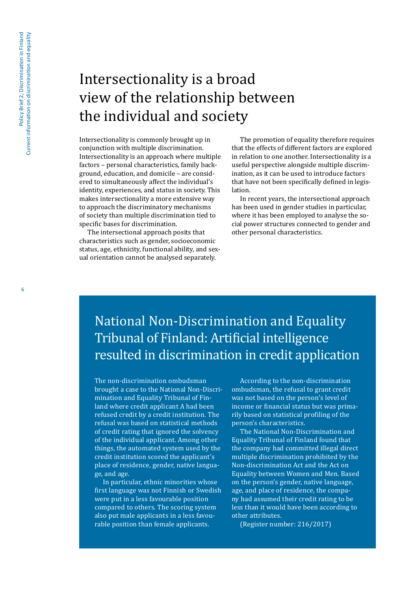### Intersectionality is a broad view of the relationship between the individual and society

Intersectionality is commonly brought up in conjunction with multiple discrimination. Intersectionality is an approach where multiple factors – personal characteristics, family background, education, and domicile – are considered to simultaneously affect the individual's identity, experiences, and status in society. This makes intersectionality a more extensive way to approach the discriminatory mechanisms of society than multiple discrimination tied to specific bases for discrimination.

The intersectional approach posits that characteristics such as gender, socioeconomic status, age, ethnicity, functional ability, and sexual orientation cannot be analysed separately.

The promotion of equality therefore requires that the effects of different factors are explored in relation to one another. Intersectionality is a useful perspective alongside multiple discrimination, as it can be used to introduce factors that have not been specifically defined in legislation.

In recent years, the intersectional approach has been used in gender studies in particular, where it has been employed to analyse the social power structures connected to gender and other personal characteristics.

### National Non-Discrimination and Equality Tribunal of Finland: Artificial intelligence resulted in discrimination in credit application

The non-discrimination ombudsman brought a case to the National Non-Discrimination and Equality Tribunal of Finland where credit applicant A had been refused credit by a credit institution. The refusal was based on statistical methods of credit rating that ignored the solvency of the individual applicant. Among other things, the automated system used by the credit institution scored the applicant's place of residence, gender, native language, and age.

In particular, ethnic minorities whose first language was not Finnish or Swedish were put in a less favourable position compared to others. The scoring system also put male applicants in a less favourable position than female applicants.

According to the non-discrimination ombudsman, the refusal to grant credit was not based on the person's level of income or financial status but was primarily based on statistical profiling of the person's characteristics.

The National Non-Discrimination and Equality Tribunal of Finland found that the company had committed illegal direct multiple discrimination prohibited by the Non-discrimination Act and the Act on Equality between Women and Men. Based on the person's gender, native language, age, and place of residence, the company had assumed their credit rating to be less than it would have been according to other attributes.

(Register number: 216/2017)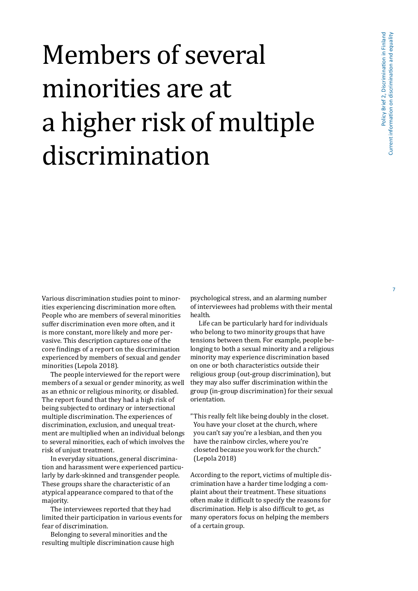# Members of several minorities are at a higher risk of multiple discrimination

Various discrimination studies point to minorities experiencing discrimination more often. People who are members of several minorities suffer discrimination even more often, and it is more constant, more likely and more pervasive. This description captures one of the core findings of a report on the discrimination experienced by members of sexual and gender minorities (Lepola 2018).

The people interviewed for the report were members of a sexual or gender minority, as well as an ethnic or religious minority, or disabled. The report found that they had a high risk of being subjected to ordinary or intersectional multiple discrimination. The experiences of discrimination, exclusion, and unequal treatment are multiplied when an individual belongs to several minorities, each of which involves the risk of unjust treatment.

In everyday situations, general discrimination and harassment were experienced particularly by dark-skinned and transgender people. These groups share the characteristic of an atypical appearance compared to that of the majority.

The interviewees reported that they had limited their participation in various events for fear of discrimination.

Belonging to several minorities and the resulting multiple discrimination cause high psychological stress, and an alarming number of interviewees had problems with their mental health.

Life can be particularly hard for individuals who belong to two minority groups that have tensions between them. For example, people belonging to both a sexual minority and a religious minority may experience discrimination based on one or both characteristics outside their religious group (out-group discrimination), but they may also suffer discrimination within the group (in-group discrimination) for their sexual orientation.

"This really felt like being doubly in the closet. You have your closet at the church, where you can't say you're a lesbian, and then you have the rainbow circles, where you're closeted because you work for the church." (Lepola 2018)

According to the report, victims of multiple discrimination have a harder time lodging a complaint about their treatment. These situations often make it difficult to specify the reasons for discrimination. Help is also difficult to get, as many operators focus on helping the members of a certain group.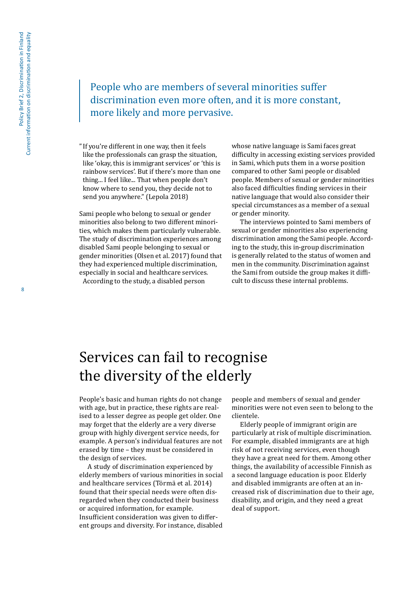People who are members of several minorities suffer discrimination even more often, and it is more constant, more likely and more pervasive.

"If you're different in one way, then it feels like the professionals can grasp the situation, like 'okay, this is immigrant services' or 'this is rainbow services'. But if there's more than one thing... I feel like... That when people don't know where to send you, they decide not to send you anywhere." (Lepola 2018)

Sami people who belong to sexual or gender minorities also belong to two different minorities, which makes them particularly vulnerable. The study of discrimination experiences among disabled Sami people belonging to sexual or gender minorities (Olsen et al. 2017) found that they had experienced multiple discrimination, especially in social and healthcare services. According to the study, a disabled person

whose native language is Sami faces great difficulty in accessing existing services provided in Sami, which puts them in a worse position compared to other Sami people or disabled people. Members of sexual or gender minorities also faced difficulties finding services in their native language that would also consider their special circumstances as a member of a sexual or gender minority.

The interviews pointed to Sami members of sexual or gender minorities also experiencing discrimination among the Sami people. According to the study, this in-group discrimination is generally related to the status of women and men in the community. Discrimination against the Sami from outside the group makes it difficult to discuss these internal problems.

### Services can fail to recognise the diversity of the elderly

People's basic and human rights do not change with age, but in practice, these rights are realised to a lesser degree as people get older. One may forget that the elderly are a very diverse group with highly divergent service needs, for example. A person's individual features are not erased by time – they must be considered in the design of services.

A study of discrimination experienced by elderly members of various minorities in social and healthcare services (Törmä et al. 2014) found that their special needs were often disregarded when they conducted their business or acquired information, for example. Insufficient consideration was given to different groups and diversity. For instance, disabled

people and members of sexual and gender minorities were not even seen to belong to the clientele.

Elderly people of immigrant origin are particularly at risk of multiple discrimination. For example, disabled immigrants are at high risk of not receiving services, even though they have a great need for them. Among other things, the availability of accessible Finnish as a second language education is poor. Elderly and disabled immigrants are often at an increased risk of discrimination due to their age, disability, and origin, and they need a great deal of support.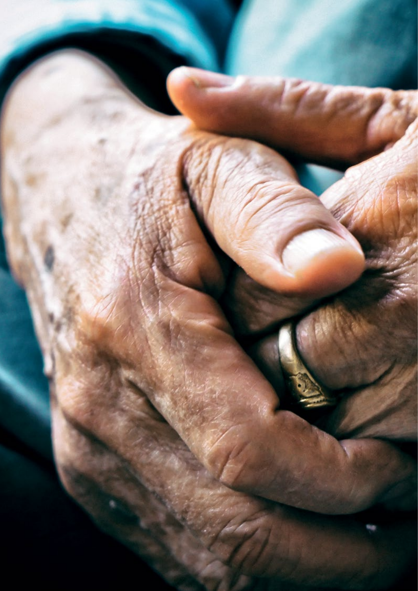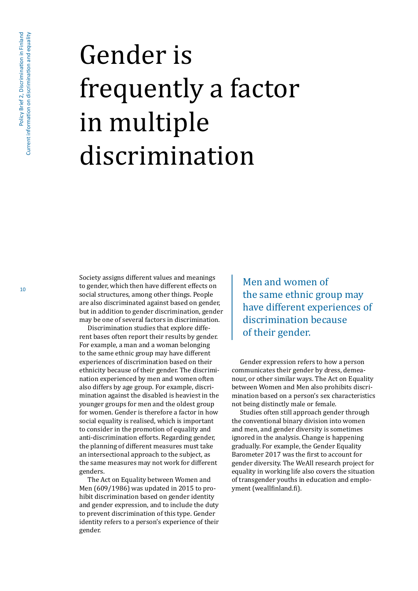# Gender is frequently a factor in multiple discrimination

Society assigns different values and meanings to gender, which then have different effects on social structures, among other things. People are also discriminated against based on gender, but in addition to gender discrimination, gender may be one of several factors in discrimination.

Discrimination studies that explore different bases often report their results by gender. For example, a man and a woman belonging to the same ethnic group may have different experiences of discrimination based on their ethnicity because of their gender. The discrimination experienced by men and women often also differs by age group. For example, discrimination against the disabled is heaviest in the younger groups for men and the oldest group for women. Gender is therefore a factor in how social equality is realised, which is important to consider in the promotion of equality and anti-discrimination efforts. Regarding gender, the planning of different measures must take an intersectional approach to the subject, as the same measures may not work for different genders.

The Act on Equality between Women and Men (609/1986) was updated in 2015 to prohibit discrimination based on gender identity and gender expression, and to include the duty to prevent discrimination of this type. Gender identity refers to a person's experience of their gender.

Men and women of the same ethnic group may have different experiences of discrimination because of their gender.

Gender expression refers to how a person communicates their gender by dress, demeanour, or other similar ways. The Act on Equality between Women and Men also prohibits discrimination based on a person's sex characteristics not being distinctly male or female.

Studies often still approach gender through the conventional binary division into women and men, and gender diversity is sometimes ignored in the analysis. Change is happening gradually. For example, the Gender Equality Barometer 2017 was the first to account for gender diversity. The WeAll research project for equality in working life also covers the situation of transgender youths in education and employment (weallfinland.fi).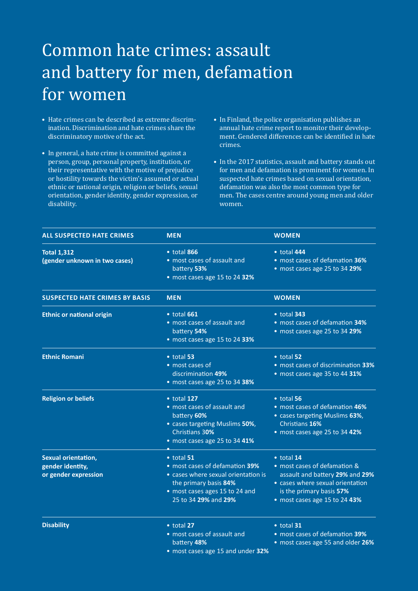# Common hate crimes: assault and battery for men, defamation for women

- Hate crimes can be described as extreme discrimination. Discrimination and hate crimes share the discriminatory motive of the act.
- In general, a hate crime is committed against a person, group, personal property, institution, or their representative with the motive of prejudice or hostility towards the victim's assumed or actual ethnic or national origin, religion or beliefs, sexual orientation, gender identity, gender expression, or disability.
- In Finland, the police organisation publishes an annual hate crime report to monitor their development. Gendered differences can be identified in hate crimes.

• In the 2017 statistics, assault and battery stands out for men and defamation is prominent for women. In suspected hate crimes based on sexual orientation, defamation was also the most common type for men. The cases centre around young men and older women.

| <b>ALL SUSPECTED HATE CRIMES</b>                                | <b>MEN</b>                                                                                                                                                                     | <b>WOMEN</b>                                                                                                                                                                           |
|-----------------------------------------------------------------|--------------------------------------------------------------------------------------------------------------------------------------------------------------------------------|----------------------------------------------------------------------------------------------------------------------------------------------------------------------------------------|
| <b>Total 1,312</b><br>(gender unknown in two cases)             | $\bullet$ total 866<br>• most cases of assault and<br>battery 53%<br>• most cases age 15 to 24 32%                                                                             | $\bullet$ total 444<br>• most cases of defamation 36%<br>• most cases age 25 to 34 29%                                                                                                 |
| <b>SUSPECTED HATE CRIMES BY BASIS</b>                           | <b>MEN</b>                                                                                                                                                                     | <b>WOMEN</b>                                                                                                                                                                           |
| <b>Ethnic or national origin</b>                                | $\bullet$ total 661<br>• most cases of assault and<br>battery 54%<br>• most cases age 15 to 24 33%                                                                             | $\bullet$ total 343<br>• most cases of defamation 34%<br>• most cases age 25 to 34 29%                                                                                                 |
| <b>Ethnic Romani</b>                                            | $\bullet$ total 53<br>• most cases of<br>discrimination 49%<br>• most cases age 25 to 34 38%                                                                                   | $\bullet$ total 52<br>• most cases of discrimination 33%<br>• most cases age 35 to 44 31%                                                                                              |
| <b>Religion or beliefs</b>                                      | $\bullet$ total 127<br>• most cases of assault and<br>battery 60%<br>• cases targeting Muslims 50%,<br><b>Christians 30%</b><br>• most cases age 25 to 34 41%                  | $\bullet$ total 56<br>• most cases of defamation 46%<br>• cases targeting Muslims 63%,<br>Christians 16%<br>• most cases age 25 to 34 42%                                              |
| Sexual orientation,<br>gender identity,<br>or gender expression | $\bullet$ total 51<br>• most cases of defamation 39%<br>• cases where sexual orientation is<br>the primary basis 84%<br>• most cases ages 15 to 24 and<br>25 to 34 29% and 29% | $\bullet$ total 14<br>• most cases of defamation &<br>assault and battery 29% and 29%<br>• cases where sexual orientation<br>is the primary basis 57%<br>• most cases age 15 to 24 43% |
| <b>Disability</b>                                               | $\bullet$ total 27<br>• most cases of assault and<br>battery 48%<br>• most cases age 15 and under 32%                                                                          | $\bullet$ total 31<br>• most cases of defamation 39%<br>• most cases age 55 and older 26%                                                                                              |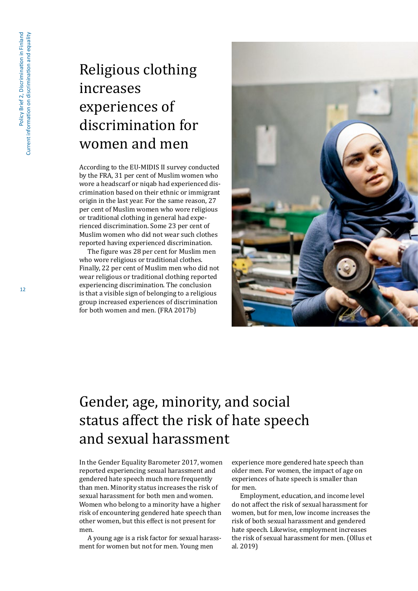### Religious clothing increases experiences of discrimination for women and men

According to the EU-MIDIS II survey conducted by the FRA, 31 per cent of Muslim women who wore a headscarf or niqab had experienced discrimination based on their ethnic or immigrant origin in the last year. For the same reason, 27 per cent of Muslim women who wore religious or traditional clothing in general had experienced discrimination. Some 23 per cent of Muslim women who did not wear such clothes reported having experienced discrimination.

The figure was 28 per cent for Muslim men who wore religious or traditional clothes. Finally, 22 per cent of Muslim men who did not wear religious or traditional clothing reported experiencing discrimination. The conclusion is that a visible sign of belonging to a religious group increased experiences of discrimination for both women and men. (FRA 2017b)



### Gender, age, minority, and social status affect the risk of hate speech and sexual harassment

In the Gender Equality Barometer 2017, women reported experiencing sexual harassment and gendered hate speech much more frequently than men. Minority status increases the risk of sexual harassment for both men and women. Women who belong to a minority have a higher risk of encountering gendered hate speech than other women, but this effect is not present for men.

A young age is a risk factor for sexual harassment for women but not for men. Young men

experience more gendered hate speech than older men. For women, the impact of age on experiences of hate speech is smaller than for men.

Employment, education, and income level do not affect the risk of sexual harassment for women, but for men, low income increases the risk of both sexual harassment and gendered hate speech. Likewise, employment increases the risk of sexual harassment for men. (Ollus et al. 2019)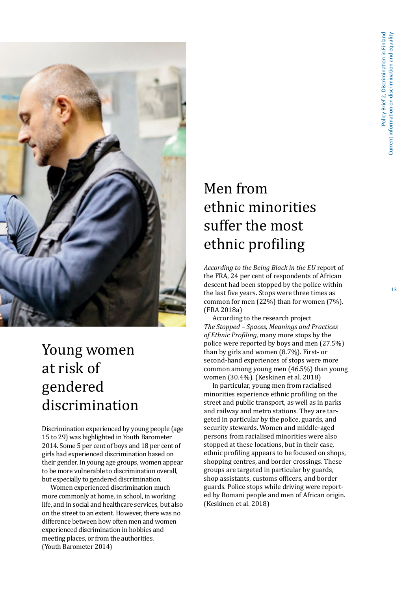

### Young women at risk of gendered discrimination

Discrimination experienced by young people (age 15 to 29) was highlighted in Youth Barometer 2014. Some 5 per cent of boys and 18 per cent of girls had experienced discrimination based on their gender. In young age groups, women appear to be more vulnerable to discrimination overall, but especially to gendered discrimination.

Women experienced discrimination much more commonly at home, in school, in working life, and in social and healthcare services, but also on the street to an extent. However, there was no difference between how often men and women experienced discrimination in hobbies and meeting places, or from the authorities. (Youth Barometer 2014)

## Men from ethnic minorities suffer the most ethnic profiling

*According to the Being Black in the EU* report of the FRA, 24 per cent of respondents of African descent had been stopped by the police within the last five years. Stops were three times as common for men (22%) than for women (7%). (FRA 2018a)

According to the research project *The Stopped – Spaces, Meanings and Practices of Ethnic Profiling*, many more stops by the police were reported by boys and men (27.5%) than by girls and women (8.7%). First- or second-hand experiences of stops were more common among young men (46.5%) than young women (30.4%). (Keskinen et al. 2018)

In particular, young men from racialised minorities experience ethnic profiling on the street and public transport, as well as in parks and railway and metro stations. They are targeted in particular by the police, guards, and security stewards. Women and middle-aged persons from racialised minorities were also stopped at these locations, but in their case, ethnic profiling appears to be focused on shops, shopping centres, and border crossings. These groups are targeted in particular by guards, shop assistants, customs officers, and border guards. Police stops while driving were reported by Romani people and men of African origin. (Keskinen et al. 2018)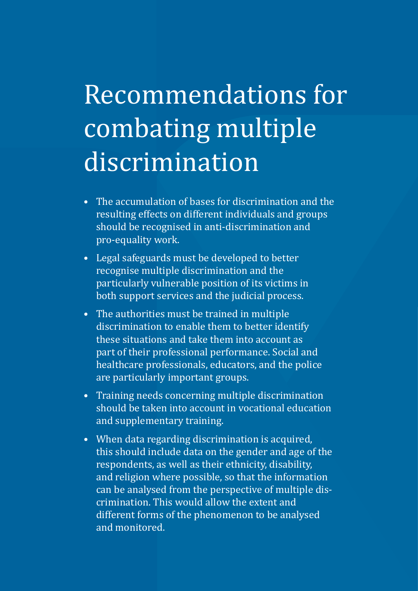# Recommendations for combating multiple discrimination

- The accumulation of bases for discrimination and the resulting effects on different individuals and groups should be recognised in anti-discrimination and pro-equality work.
- Legal safeguards must be developed to better recognise multiple discrimination and the particularly vulnerable position of its victims in both support services and the judicial process.
- The authorities must be trained in multiple discrimination to enable them to better identify these situations and take them into account as part of their professional performance. Social and healthcare professionals, educators, and the police are particularly important groups.
- Training needs concerning multiple discrimination should be taken into account in vocational education and supplementary training.
- When data regarding discrimination is acquired, this should include data on the gender and age of the respondents, as well as their ethnicity, disability, and religion where possible, so that the information can be analysed from the perspective of multiple discrimination. This would allow the extent and different forms of the phenomenon to be analysed and monitored.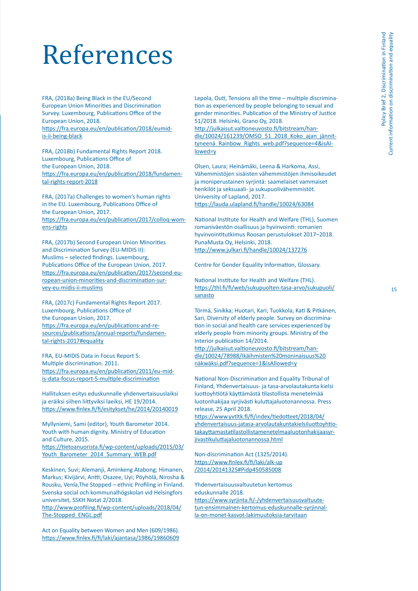# References

FRA, (2018a) Being Black in the EU/Second European Union Minorities and Discrimination Survey. Luxembourg, Publications Office of the European Union, 2018. [https://fra.europa.eu/en/publication/2018/eumid](https://fra.europa.eu/en/publication/2018/eumidis-ii-being-black)-

[is-ii-being-black](https://fra.europa.eu/en/publication/2018/eumidis-ii-being-black)

FRA, (2018b) Fundamental Rights Report 2018. Luxembourg, Publications Office of the European Union, 2018. [https://fra.europa.eu/en/publication/2018/fundamen](https://fra.europa.eu/en/publication/2018/fundamental-rights-report-2018)[tal-rights-report-2018](https://fra.europa.eu/en/publication/2018/fundamental-rights-report-2018)

FRA, (2017a) Challenges to women's human rights in the EU. Luxembourg, Publications Office of the European Union, 2017. [https://fra.europa.eu/en/publication/2017/colloq-wom](https://fra.europa.eu/en/publication/2017/colloq-womens-rights)[ens-rights](https://fra.europa.eu/en/publication/2017/colloq-womens-rights)

FRA, (2017b) Second European Union Minorities and Discrimination Survey (EU-MIDIS II): Muslims – selected findings. Luxembourg, Publications Office of the European Union, 2017. [https://fra.europa.eu/en/publication/2017/second-eu](https://fra.europa.eu/en/publication/2017/second-european-union-minorities-and-discrimination-survey-eu-midis-ii-muslims)[ropean-union-minorities-and-discrimination-sur](https://fra.europa.eu/en/publication/2017/second-european-union-minorities-and-discrimination-survey-eu-midis-ii-muslims)[vey-eu-midis-ii-muslims](https://fra.europa.eu/en/publication/2017/second-european-union-minorities-and-discrimination-survey-eu-midis-ii-muslims)

FRA, (2017c) Fundamental Rights Report 2017. Luxembourg, Publications Office of the European Union, 2017. [https://fra.europa.eu/en/publications-and-re](https://fra.europa.eu/en/publications-and-resources/publications/annual-reports/fundamental-rights-2017#equality)[sources/publications/annual-reports/fundamen](https://fra.europa.eu/en/publications-and-resources/publications/annual-reports/fundamental-rights-2017#equality)[tal-rights-2017#equality](https://fra.europa.eu/en/publications-and-resources/publications/annual-reports/fundamental-rights-2017#equality)

FRA, EU-MIDIS Data in Focus Report 5: Multiple discrimination. 2011. [https://fra.europa.eu/en/publication/2011/eu-mid](https://fra.europa.eu/en/publication/2011/eu-midis-data-focus-report-5-multiple-discrimination)[is-data-focus-report-5-multiple-discrimination](https://fra.europa.eu/en/publication/2011/eu-midis-data-focus-report-5-multiple-discrimination)

Hallituksen esitys eduskunnalle yhdenvertaisuuslaiksi ja eräiksi siihen liittyviksi laeiksi, HE 19/2014. <https://www.finlex.fi/fi/esitykset/he/2014/20140019>

Myllyniemi, Sami (editor), Youth Barometer 2014. Youth with human dignity. Ministry of Education and Culture, 2015. [https://tietoanuorista.fi/wp-content/uploads/2015/03/](https://tietoanuorista.fi/wp-content/uploads/2015/03/Youth_Barometer_2014_Summary_WEB.pdf) [Youth\\_Barometer\\_2014\\_Summary\\_WEB.pdf](https://tietoanuorista.fi/wp-content/uploads/2015/03/Youth_Barometer_2014_Summary_WEB.pdf)

Keskinen, Suvi; Alemanji, Aminkeng Atabong; Himanen, Markus; Kivijärvi, Antti; Osazee, Uyi; Pöyhölä, Nirosha & Rousku, Venla,The Stopped – ethnic Profiling in Finland. Svenska social och kommunalhögskolan vid Helsingfors universitet, SSKH Notat 2/2018.

[http://www.profiling.fi/wp-content/uploads/2018/04/](http://www.profiling.fi/wp-content/uploads/2018/04/The-Stopped_ENGL.pdf) [The-Stopped\\_ENGL.pdf](http://www.profiling.fi/wp-content/uploads/2018/04/The-Stopped_ENGL.pdf)

Act on Equality between Women and Men (609/1986). <https://www.finlex.fi/fi/laki/ajantasa/1986/19860609> Lepola, Outi, Tensions all the time – multiple discrimination as experienced by people belonging to sexual and gender minorities. Publication of the Ministry of Justice 51/2018. Helsinki, Grano Oy, 2018.

[http://julkaisut.valtioneuvosto.fi/bitstream/han](http://julkaisut.valtioneuvosto.fi/bitstream/handle/10024/161239/OMSO_51_2018_Koko_ajan_jännittyneenä_Rainbow_Rights_web.pdf?sequence=4&isAllowed=y)[dle/10024/161239/OMSO\\_51\\_2018\\_Koko\\_ajan\\_jännit](http://julkaisut.valtioneuvosto.fi/bitstream/handle/10024/161239/OMSO_51_2018_Koko_ajan_jännittyneenä_Rainbow_Rights_web.pdf?sequence=4&isAllowed=y)[tyneenä\\_Rainbow\\_Rights\\_web.pdf?sequence=4&isAl](http://julkaisut.valtioneuvosto.fi/bitstream/handle/10024/161239/OMSO_51_2018_Koko_ajan_jännittyneenä_Rainbow_Rights_web.pdf?sequence=4&isAllowed=y)[lowed=y](http://julkaisut.valtioneuvosto.fi/bitstream/handle/10024/161239/OMSO_51_2018_Koko_ajan_jännittyneenä_Rainbow_Rights_web.pdf?sequence=4&isAllowed=y)

Olsen, Laura; Heinämäki, Leena & Harkoma, Assi, Vähemmistöjen sisäisten vähemmistöjen ihmisoikeudet ja moniperustainen syrjintä: saamelaiset vammaiset henkilöt ja seksuaali- ja sukupuolivähemmistöt. University of Lapland, 2017. <https://lauda.ulapland.fi/handle/10024/63084>

National Institute for Health and Welfare (THL), Suomen romaniväestön osallisuus ja hyvinvointi: romanien hyvinvointitutkimus Roosan perustulokset 2017–2018. PunaMusta Oy, Helsinki, 2018. <http://www.julkari.fi/handle/10024/137276>

Centre for Gender Equality Information, Glossary.

National Institute for Health and Welfare (THL). [https://thl.fi/fi/web/sukupuolten-tasa-arvo/sukupuoli/](https://thl.fi/fi/web/sukupuolten-tasa-arvo/sukupuoli/sanasto) [sanasto](https://thl.fi/fi/web/sukupuolten-tasa-arvo/sukupuoli/sanasto)

Törmä, Sinikka; Huotari, Kari; Tuokkola, Kati & Pitkänen, Sari, Diversity of elderly people. Survey on discrimination in social and health care services experienced by elderly people from minority groups. Ministry of the Interior publication 14/2014.

[http://julkaisut.valtioneuvosto.fi/bitstream/han](http://julkaisut.valtioneuvosto.fi/bitstream/handle/10024/78988/Ikäihmisten%20moninaisuus%20näkwäksi.pdf?sequence=1&isAllowed=y)[dle/10024/78988/Ikäihmisten%20moninaisuus%20](http://julkaisut.valtioneuvosto.fi/bitstream/handle/10024/78988/Ikäihmisten%20moninaisuus%20näkwäksi.pdf?sequence=1&isAllowed=y) [näkwäksi.pdf?sequence=1&isAllowed=y](http://julkaisut.valtioneuvosto.fi/bitstream/handle/10024/78988/Ikäihmisten%20moninaisuus%20näkwäksi.pdf?sequence=1&isAllowed=y)

National Non-Discrimination and Equality Tribunal of Finland, Yhdenvertaisuus- ja tasa-arvolautakunta kielsi luottoyhtiötä käyttämästä tilastollista menetelmää luotonhakijaa syrjivästi kuluttajaluotonannossa. Press release, 25 April 2018.

[https://www.yvtltk.fi/fi/index/tiedotteet/2018/04/](https://www.yvtltk.fi/fi/index/tiedotteet/2018/04/yhdenvertaisuus-jatasa-arvolautakuntakielsiluottoyhtiotakayttamastatilastollistamenetelmaaluotonhakijaasyrjivastikuluttajaluotonannossa.html) [yhdenvertaisuus-jatasa-arvolautakuntakielsiluottoyhtio](https://www.yvtltk.fi/fi/index/tiedotteet/2018/04/yhdenvertaisuus-jatasa-arvolautakuntakielsiluottoyhtiotakayttamastatilastollistamenetelmaaluotonhakijaasyrjivastikuluttajaluotonannossa.html)[takayttamastatilastollistamenetelmaaluotonhakijaasyr](https://www.yvtltk.fi/fi/index/tiedotteet/2018/04/yhdenvertaisuus-jatasa-arvolautakuntakielsiluottoyhtiotakayttamastatilastollistamenetelmaaluotonhakijaasyrjivastikuluttajaluotonannossa.html)[jivastikuluttajaluotonannossa.html](https://www.yvtltk.fi/fi/index/tiedotteet/2018/04/yhdenvertaisuus-jatasa-arvolautakuntakielsiluottoyhtiotakayttamastatilastollistamenetelmaaluotonhakijaasyrjivastikuluttajaluotonannossa.html)

Non-discrimination Act (1325/2014). [https://www.finlex.fi/fi/laki/alk-up](https://www.finlex.fi/fi/laki/alk-up/2014/20141325#Pidp450585008) [/2014/20141325#Pidp450585008](https://www.finlex.fi/fi/laki/alk-up/2014/20141325#Pidp450585008)

Yhdenvertaisuusvaltuutetun kertomus eduskunnalle 2018. [https://www.syrjinta.fi/-/yhdenvertaisuusvaltuute](https://www.syrjinta.fi/-/yhdenvertaisuusvaltuutetun-ensimmainen-kertomus-eduskunnalle-syrjinnalla-on-monet-kasvot-lakimuutoksia-tarvitaan)[tun-ensimmainen-kertomus-eduskunnalle-syrjinnal](https://www.syrjinta.fi/-/yhdenvertaisuusvaltuutetun-ensimmainen-kertomus-eduskunnalle-syrjinnalla-on-monet-kasvot-lakimuutoksia-tarvitaan)[la-on-monet-kasvot-lakimuutoksia-tarvitaan](https://www.syrjinta.fi/-/yhdenvertaisuusvaltuutetun-ensimmainen-kertomus-eduskunnalle-syrjinnalla-on-monet-kasvot-lakimuutoksia-tarvitaan)